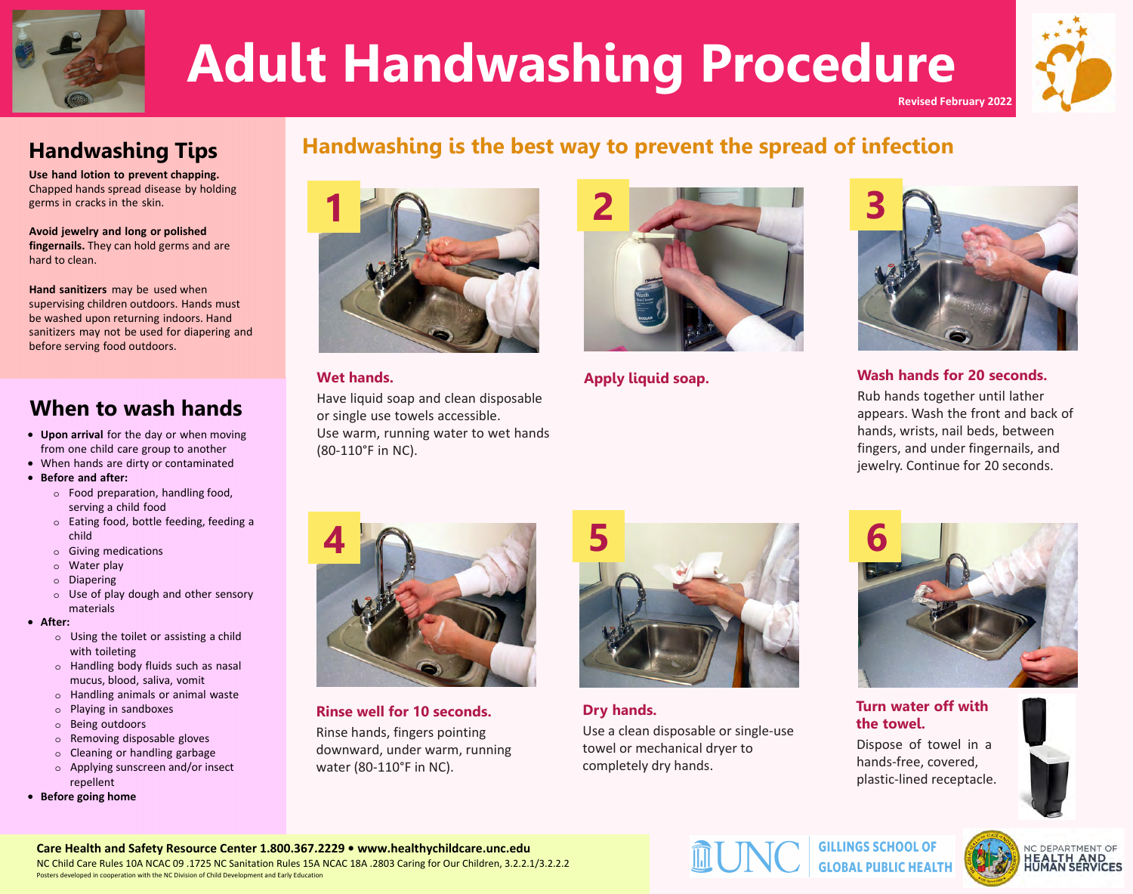



**Revised February 2022** 

Use hand lotion to prevent chapping<br>#happed hands spreaddisease y holding ger sin crac sin the s in.

Avoid jewelry and long or polished<br>fingernails uhey can hold ger sand are hard to dean.

Hand sanitizers ay e sed when<br>s pervising children o tdoors Hands st<br>e washed pon ret ming indoors Hand<br>sanitizers ay not e sed for diapering and<br>efore serving food o tdoors